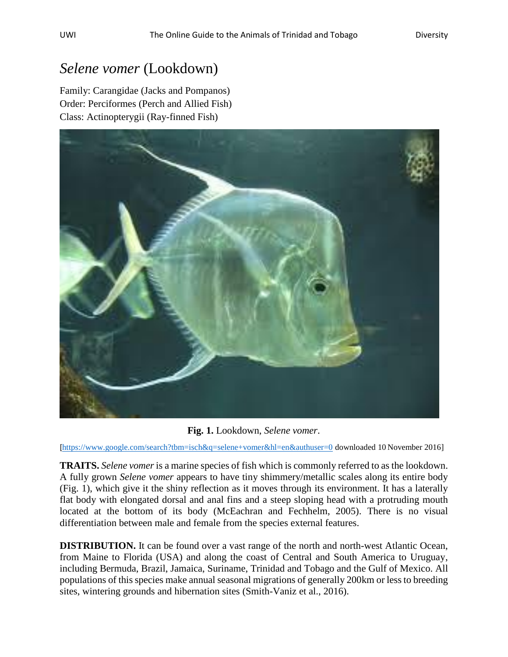## *Selene vomer* (Lookdown)

Family: Carangidae (Jacks and Pompanos) Order: Perciformes (Perch and Allied Fish) Class: Actinopterygii (Ray-finned Fish)



**Fig. 1.** Lookdown, *Selene vomer*.

[<https://www.google.com/search?tbm=isch&q=selene+vomer&hl=en&authuser=0> downloaded 10 November 2016]

**TRAITS.** *Selene vomer* is a marine species of fish which is commonly referred to as the lookdown. A fully grown *Selene vomer* appears to have tiny shimmery/metallic scales along its entire body (Fig. 1), which give it the shiny reflection as it moves through its environment. It has a laterally flat body with elongated dorsal and anal fins and a steep sloping head with a protruding mouth located at the bottom of its body (McEachran and Fechhelm, 2005). There is no visual differentiation between male and female from the species external features.

**DISTRIBUTION.** It can be found over a vast range of the north and north-west Atlantic Ocean, from Maine to Florida (USA) and along the coast of Central and South America to Uruguay, including Bermuda, Brazil, Jamaica, Suriname, Trinidad and Tobago and the Gulf of Mexico. All populations of this species make annual seasonal migrations of generally 200km or less to breeding sites, wintering grounds and hibernation sites (Smith-Vaniz et al., 2016).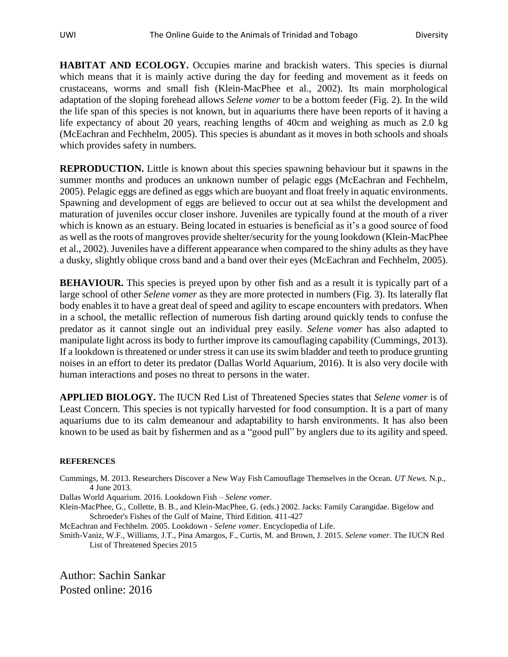**HABITAT AND ECOLOGY.** Occupies marine and brackish waters. This species is diurnal which means that it is mainly active during the day for feeding and movement as it feeds on crustaceans, worms and small fish (Klein-MacPhee et al., 2002). Its main morphological adaptation of the sloping forehead allows *Selene vomer* to be a bottom feeder (Fig. 2). In the wild the life span of this species is not known, but in aquariums there have been reports of it having a life expectancy of about 20 years, reaching lengths of 40cm and weighing as much as 2.0 kg (McEachran and Fechhelm, 2005). This species is abundant as it moves in both schools and shoals which provides safety in numbers.

**REPRODUCTION.** Little is known about this species spawning behaviour but it spawns in the summer months and produces an unknown number of pelagic eggs (McEachran and Fechhelm, 2005). Pelagic eggs are defined as eggs which are buoyant and float freely in aquatic environments. Spawning and development of eggs are believed to occur out at sea whilst the development and maturation of juveniles occur closer inshore. Juveniles are typically found at the mouth of a river which is known as an estuary. Being located in estuaries is beneficial as it's a good source of food as well as the roots of mangroves provide shelter/security for the young lookdown (Klein-MacPhee et al., 2002). Juveniles have a different appearance when compared to the shiny adults as they have a dusky, slightly oblique cross band and a band over their eyes (McEachran and Fechhelm, 2005).

**BEHAVIOUR.** This species is preyed upon by other fish and as a result it is typically part of a large school of other *Selene vomer* as they are more protected in numbers (Fig. 3). Its laterally flat body enables it to have a great deal of speed and agility to escape encounters with predators. When in a school, the metallic reflection of numerous fish darting around quickly tends to confuse the predator as it cannot single out an individual prey easily. *Selene vomer* has also adapted to manipulate light across its body to further improve its camouflaging capability (Cummings, 2013). If a lookdown is threatened or under stress it can use its swim bladder and teeth to produce grunting noises in an effort to deter its predator (Dallas World Aquarium, 2016). It is also very docile with human interactions and poses no threat to persons in the water.

**APPLIED BIOLOGY.** The IUCN Red List of Threatened Species states that *Selene vomer* is of Least Concern. This species is not typically harvested for food consumption. It is a part of many aquariums due to its calm demeanour and adaptability to harsh environments. It has also been known to be used as bait by fishermen and as a "good pull" by anglers due to its agility and speed.

## **REFERENCES**

Cummings, M. 2013. Researchers Discover a New Way Fish Camouflage Themselves in the Ocean. *UT News*. N.p., 4 June 2013.

Dallas World Aquarium. 2016. Lookdown Fish – *Selene vomer*.

Klein-MacPhee, G., Collette, B. B., and Klein-MacPhee, G. (eds.) 2002. Jacks: Family Carangidae. Bigelow and Schroeder's Fishes of the Gulf of Maine, Third Edition. 411-427

McEachran and Fechhelm. 2005. Lookdown - *Selene vomer*. Encyclopedia of Life.

Smith-Vaniz, W.F., Williams, J.T., Pina Amargos, F., Curtis, M. and Brown, J. 2015. *Selene vomer*. The IUCN Red List of Threatened Species 2015

Author: Sachin Sankar Posted online: 2016